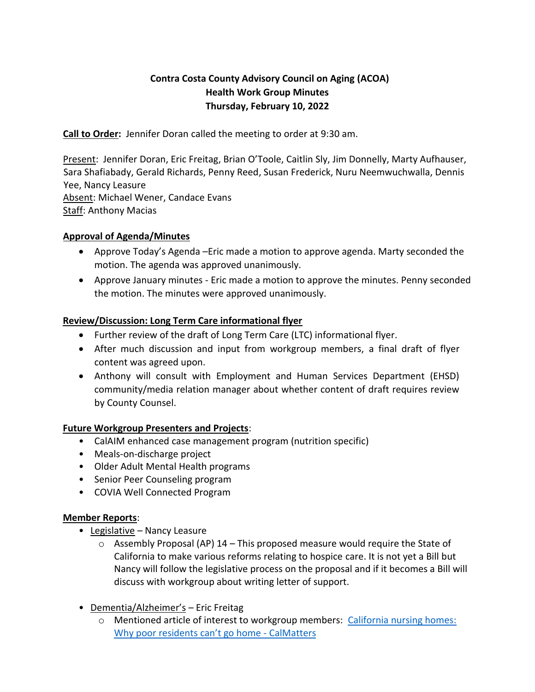# **Contra Costa County Advisory Council on Aging (ACOA) Health Work Group Minutes Thursday, February 10, 2022**

**Call to Order:** Jennifer Doran called the meeting to order at 9:30 am.

Present: Jennifer Doran, Eric Freitag, Brian O'Toole, Caitlin Sly, Jim Donnelly, Marty Aufhauser, Sara Shafiabady, Gerald Richards, Penny Reed, Susan Frederick, Nuru Neemwuchwalla, Dennis Yee, Nancy Leasure Absent: Michael Wener, Candace Evans Staff: Anthony Macias

### **Approval of Agenda/Minutes**

- Approve Today's Agenda –Eric made a motion to approve agenda. Marty seconded the motion. The agenda was approved unanimously.
- Approve January minutes Eric made a motion to approve the minutes. Penny seconded the motion. The minutes were approved unanimously.

## **Review/Discussion: Long Term Care informational flyer**

- Further review of the draft of Long Term Care (LTC) informational flyer.
- After much discussion and input from workgroup members, a final draft of flyer content was agreed upon.
- Anthony will consult with Employment and Human Services Department (EHSD) community/media relation manager about whether content of draft requires review by County Counsel.

### **Future Workgroup Presenters and Projects**:

- CalAIM enhanced case management program (nutrition specific)
- Meals-on-discharge project
- Older Adult Mental Health programs
- Senior Peer Counseling program
- COVIA Well Connected Program

### **Member Reports**:

- Legislative Nancy Leasure
	- $\circ$  Assembly Proposal (AP) 14 This proposed measure would require the State of California to make various reforms relating to hospice care. It is not yet a Bill but Nancy will follow the legislative process on the proposal and if it becomes a Bill will discuss with workgroup about writing letter of support.
- Dementia/Alzheimer's Eric Freitag
	- o Mentioned article of interest to workgroup members: [California nursing homes:](https://calmatters.org/health/2022/01/california-nursing-homes-transition/?fbclid=IwAR3kMho2nJCw2-tZoeWCeAW6nylcCXp-aW2q1edw19f-Wgzjsg4iER2CRAM)  [Why poor residents can't go home](https://calmatters.org/health/2022/01/california-nursing-homes-transition/?fbclid=IwAR3kMho2nJCw2-tZoeWCeAW6nylcCXp-aW2q1edw19f-Wgzjsg4iER2CRAM) - CalMatters